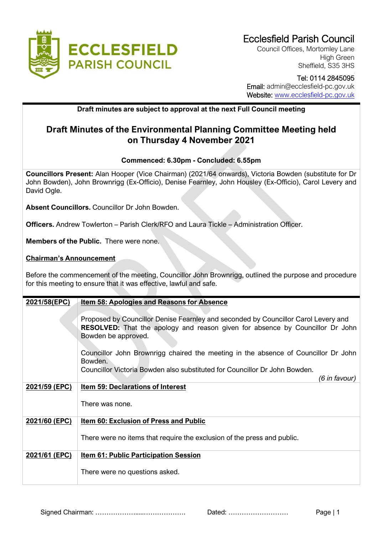

Council Offices, Mortomley Lane High Green Sheffield, S35 3HS

# Tel: 0114 2845095

 Email: admin@ecclesfield-pc.gov.uk Website: [www.ecclesfield-pc.gov.uk](http://www.ecclesfield-pc.gov.uk/)

### **Draft minutes are subject to approval at the next Full Council meeting**

## **Draft Minutes of the Environmental Planning Committee Meeting held on Thursday 4 November 2021**

### **Commenced: 6.30pm - Concluded: 6.55pm**

**Councillors Present:** Alan Hooper (Vice Chairman) (2021/64 onwards), Victoria Bowden (substitute for Dr John Bowden), John Brownrigg (Ex-Officio), Denise Fearnley, John Housley (Ex-Officio), Carol Levery and David Ogle.

**Absent Councillors.** Councillor Dr John Bowden.

**Officers.** Andrew Towlerton – Parish Clerk/RFO and Laura Tickle – Administration Officer.

**Members of the Public.** There were none.

### **Chairman's Announcement**

Before the commencement of the meeting, Councillor John Brownrigg, outlined the purpose and procedure for this meeting to ensure that it was effective, lawful and safe.

| 2021/58(EPC)  | <b>Item 58: Apologies and Reasons for Absence</b>                                                                                                                                                 |
|---------------|---------------------------------------------------------------------------------------------------------------------------------------------------------------------------------------------------|
|               | Proposed by Councillor Denise Fearnley and seconded by Councillor Carol Levery and<br><b>RESOLVED:</b> That the apology and reason given for absence by Councillor Dr John<br>Bowden be approved. |
|               | Councillor John Brownrigg chaired the meeting in the absence of Councillor Dr John<br>Bowden.                                                                                                     |
|               | Councillor Victoria Bowden also substituted for Councillor Dr John Bowden.<br>(6 in favour)                                                                                                       |
| 2021/59 (EPC) | <b>Item 59: Declarations of Interest</b>                                                                                                                                                          |
|               | There was none.                                                                                                                                                                                   |
| 2021/60 (EPC) | <b>Item 60: Exclusion of Press and Public</b>                                                                                                                                                     |
|               | There were no items that require the exclusion of the press and public.                                                                                                                           |
| 2021/61 (EPC) | <b>Item 61: Public Participation Session</b>                                                                                                                                                      |
|               | There were no questions asked.                                                                                                                                                                    |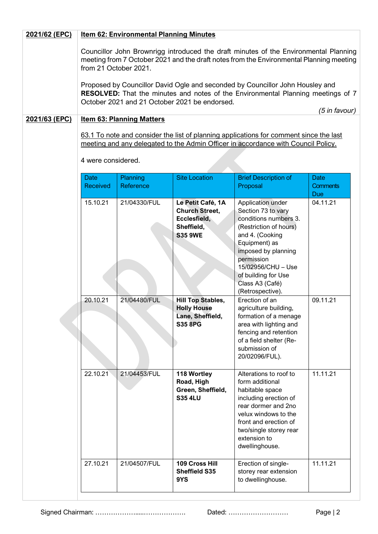| 2021/62 (EPC) | <b>Item 62: Environmental Planning Minutes</b>                                                                                                                                                                     |                              |                                                                                            |                                                                                                                                                                                                                                                         |                                              |  |  |
|---------------|--------------------------------------------------------------------------------------------------------------------------------------------------------------------------------------------------------------------|------------------------------|--------------------------------------------------------------------------------------------|---------------------------------------------------------------------------------------------------------------------------------------------------------------------------------------------------------------------------------------------------------|----------------------------------------------|--|--|
|               | Councillor John Brownrigg introduced the draft minutes of the Environmental Planning<br>meeting from 7 October 2021 and the draft notes from the Environmental Planning meeting<br>from 21 October 2021.           |                              |                                                                                            |                                                                                                                                                                                                                                                         |                                              |  |  |
|               | Proposed by Councillor David Ogle and seconded by Councillor John Housley and<br>RESOLVED: That the minutes and notes of the Environmental Planning meetings of 7<br>October 2021 and 21 October 2021 be endorsed. |                              |                                                                                            |                                                                                                                                                                                                                                                         |                                              |  |  |
| 2021/63 (EPC) | (5 in favour)<br><b>Item 63: Planning Matters</b>                                                                                                                                                                  |                              |                                                                                            |                                                                                                                                                                                                                                                         |                                              |  |  |
|               | 63.1 To note and consider the list of planning applications for comment since the last<br>meeting and any delegated to the Admin Officer in accordance with Council Policy.                                        |                              |                                                                                            |                                                                                                                                                                                                                                                         |                                              |  |  |
|               | 4 were considered.                                                                                                                                                                                                 |                              |                                                                                            |                                                                                                                                                                                                                                                         |                                              |  |  |
|               | <b>Date</b><br><b>Received</b>                                                                                                                                                                                     | <b>Planning</b><br>Reference | <b>Site Location</b>                                                                       | <b>Brief Description of</b><br>Proposal                                                                                                                                                                                                                 | <b>Date</b><br><b>Comments</b><br><b>Due</b> |  |  |
|               | 15.10.21                                                                                                                                                                                                           | 21/04330/FUL                 | Le Petit Café, 1A<br><b>Church Street,</b><br>Ecclesfield,<br>Sheffield,<br><b>S35 9WE</b> | Application under<br>Section 73 to vary<br>conditions numbers 3.<br>(Restriction of hours)<br>and 4. (Cooking<br>Equipment) as<br>imposed by planning<br>permission<br>15/02956/CHU - Use<br>of building for Use<br>Class A3 (Café)<br>(Retrospective). | 04.11.21                                     |  |  |
|               | 20.10.21                                                                                                                                                                                                           | 21/04480/FUL                 | <b>Hill Top Stables,</b><br><b>Holly House</b><br>Lane, Sheffield,<br><b>S35 8PG</b>       | Erection of an<br>agriculture building,<br>formation of a menage<br>area with lighting and<br>fencing and retention<br>of a field shelter (Re-<br>submission of<br>20/02096/FUL).                                                                       | 09.11.21                                     |  |  |
|               | 22.10.21                                                                                                                                                                                                           | 21/04453/FUL                 | 118 Wortley<br>Road, High<br>Green, Sheffield,<br><b>S35 4LU</b>                           | Alterations to roof to<br>form additional<br>habitable space<br>including erection of<br>rear dormer and 2no<br>velux windows to the<br>front and erection of<br>two/single storey rear<br>extension to<br>dwellinghouse.                               | 11.11.21                                     |  |  |
|               | 27.10.21                                                                                                                                                                                                           | 21/04507/FUL                 | 109 Cross Hill<br><b>Sheffield S35</b><br>9YS                                              | Erection of single-<br>storey rear extension<br>to dwellinghouse.                                                                                                                                                                                       | 11.11.21                                     |  |  |

Signed Chairman: ……………….....………………. Dated: ……………………… Page | 2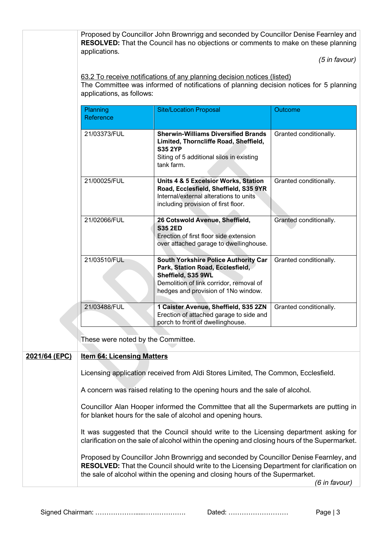|               |                                                                                                                                                                                                 | Proposed by Councillor John Brownrigg and seconded by Councillor Denise Fearnley and<br><b>RESOLVED:</b> That the Council has no objections or comments to make on these planning                                                                                        |                        |  |  |
|---------------|-------------------------------------------------------------------------------------------------------------------------------------------------------------------------------------------------|--------------------------------------------------------------------------------------------------------------------------------------------------------------------------------------------------------------------------------------------------------------------------|------------------------|--|--|
|               | applications.                                                                                                                                                                                   |                                                                                                                                                                                                                                                                          |                        |  |  |
|               |                                                                                                                                                                                                 |                                                                                                                                                                                                                                                                          | $(5$ in favour)        |  |  |
|               | 63.2 To receive notifications of any planning decision notices (listed)<br>The Committee was informed of notifications of planning decision notices for 5 planning<br>applications, as follows: |                                                                                                                                                                                                                                                                          |                        |  |  |
|               | Planning<br>Reference                                                                                                                                                                           | <b>Site/Location Proposal</b>                                                                                                                                                                                                                                            | Outcome                |  |  |
|               | 21/03373/FUL                                                                                                                                                                                    | <b>Sherwin-Williams Diversified Brands</b><br>Limited, Thorncliffe Road, Sheffield,<br><b>S35 2YP</b><br>Siting of 5 additional silos in existing<br>tank farm.                                                                                                          | Granted conditionally. |  |  |
|               | 21/00025/FUL                                                                                                                                                                                    | <b>Units 4 &amp; 5 Excelsior Works, Station</b><br>Road, Ecclesfield, Sheffield, S35 9YR<br>Internal/external alterations to units<br>including provision of first floor.                                                                                                | Granted conditionally. |  |  |
|               | 21/02066/FUL                                                                                                                                                                                    | 26 Cotswold Avenue, Sheffield,<br><b>S35 2ED</b><br>Erection of first floor side extension<br>over attached garage to dwellinghouse.                                                                                                                                     | Granted conditionally. |  |  |
|               | 21/03510/FUL                                                                                                                                                                                    | <b>South Yorkshire Police Authority Car</b><br>Park, Station Road, Ecclesfield,<br>Sheffield, S35 9WL<br>Demolition of link corridor, removal of<br>hedges and provision of 1No window.                                                                                  | Granted conditionally. |  |  |
|               | 21/03488/FUL                                                                                                                                                                                    | 1 Caister Avenue, Sheffield, S35 2ZN<br>Erection of attached garage to side and<br>porch to front of dwellinghouse.                                                                                                                                                      | Granted conditionally. |  |  |
|               | These were noted by the Committee.                                                                                                                                                              |                                                                                                                                                                                                                                                                          |                        |  |  |
| 2021/64 (EPC) | <b>Item 64: Licensing Matters</b>                                                                                                                                                               |                                                                                                                                                                                                                                                                          |                        |  |  |
|               | Licensing application received from Aldi Stores Limited, The Common, Ecclesfield.<br>A concern was raised relating to the opening hours and the sale of alcohol.                                |                                                                                                                                                                                                                                                                          |                        |  |  |
|               |                                                                                                                                                                                                 |                                                                                                                                                                                                                                                                          |                        |  |  |
|               |                                                                                                                                                                                                 | Councillor Alan Hooper informed the Committee that all the Supermarkets are putting in<br>for blanket hours for the sale of alcohol and opening hours.                                                                                                                   |                        |  |  |
|               |                                                                                                                                                                                                 | It was suggested that the Council should write to the Licensing department asking for<br>clarification on the sale of alcohol within the opening and closing hours of the Supermarket.                                                                                   |                        |  |  |
|               |                                                                                                                                                                                                 | Proposed by Councillor John Brownrigg and seconded by Councillor Denise Fearnley, and<br><b>RESOLVED:</b> That the Council should write to the Licensing Department for clarification on<br>the sale of alcohol within the opening and closing hours of the Supermarket. | (6 in favour)          |  |  |